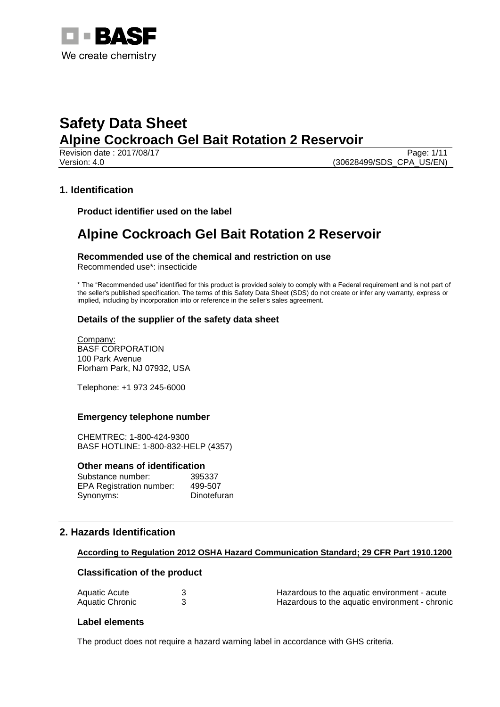

Revision date : 2017/08/17 Page: 1/11 Version: 4.0 (30628499/SDS\_CPA\_US/EN)

# **1. Identification**

**Product identifier used on the label**

# **Alpine Cockroach Gel Bait Rotation 2 Reservoir**

#### **Recommended use of the chemical and restriction on use** Recommended use\*: insecticide

\* The "Recommended use" identified for this product is provided solely to comply with a Federal requirement and is not part of the seller's published specification. The terms of this Safety Data Sheet (SDS) do not create or infer any warranty, express or implied, including by incorporation into or reference in the seller's sales agreement.

## **Details of the supplier of the safety data sheet**

Company: BASF CORPORATION 100 Park Avenue Florham Park, NJ 07932, USA

Telephone: +1 973 245-6000

## **Emergency telephone number**

CHEMTREC: 1-800-424-9300 BASF HOTLINE: 1-800-832-HELP (4357)

#### **Other means of identification**

| Substance number:               | 395337      |
|---------------------------------|-------------|
| <b>EPA Registration number:</b> | 499-507     |
| Synonyms:                       | Dinotefuran |

# **2. Hazards Identification**

#### **According to Regulation 2012 OSHA Hazard Communication Standard; 29 CFR Part 1910.1200**

## **Classification of the product**

| Aquatic Acute   | Hazardous to the aquatic environment - acute   |  |
|-----------------|------------------------------------------------|--|
| Aquatic Chronic | Hazardous to the aquatic environment - chronic |  |

#### **Label elements**

The product does not require a hazard warning label in accordance with GHS criteria.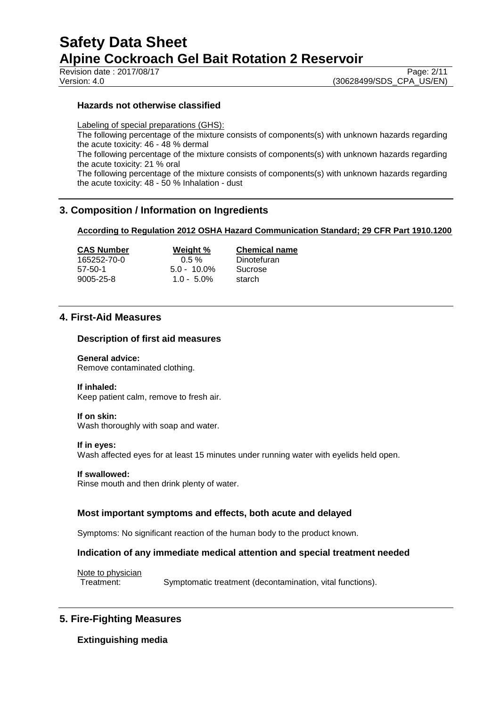Revision date : 2017/08/17

Version: 4.0 (30628499/SDS\_CPA\_US/EN)

### **Hazards not otherwise classified**

Labeling of special preparations (GHS): The following percentage of the mixture consists of components(s) with unknown hazards regarding the acute toxicity: 46 - 48 % dermal The following percentage of the mixture consists of components(s) with unknown hazards regarding the acute toxicity: 21 % oral The following percentage of the mixture consists of components(s) with unknown hazards regarding the acute toxicity: 48 - 50 % Inhalation - dust

# **3. Composition / Information on Ingredients**

#### **According to Regulation 2012 OSHA Hazard Communication Standard; 29 CFR Part 1910.1200**

165252-70-0 0.5 % Dinotefuran 57-50-1 5.0 - 10.0% Sucrose

9005-25-8 1.0 - 5.0% starch

**CAS Number Weight % Chemical name**

# **4. First-Aid Measures**

#### **Description of first aid measures**

**General advice:** Remove contaminated clothing.

### **If inhaled:**

Keep patient calm, remove to fresh air.

#### **If on skin:**

Wash thoroughly with soap and water.

#### **If in eyes:**

Wash affected eyes for at least 15 minutes under running water with eyelids held open.

#### **If swallowed:**

Rinse mouth and then drink plenty of water.

## **Most important symptoms and effects, both acute and delayed**

Symptoms: No significant reaction of the human body to the product known.

## **Indication of any immediate medical attention and special treatment needed**

Note to physician

Treatment: Symptomatic treatment (decontamination, vital functions).

# **5. Fire-Fighting Measures**

**Extinguishing media**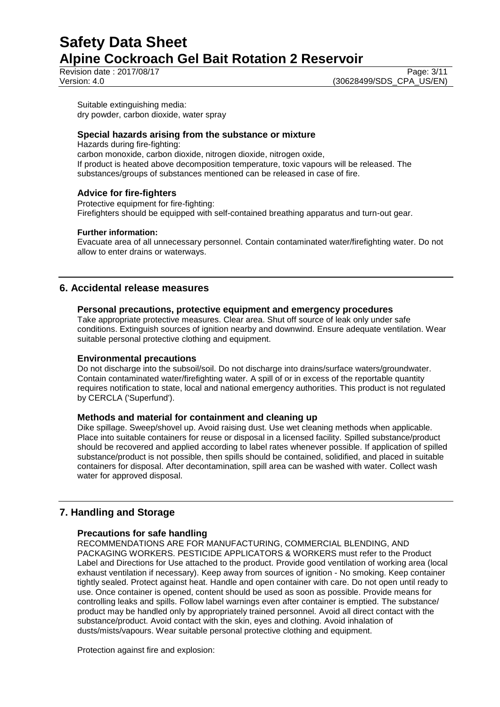Revision date : 2017/08/17 Page: 3/11

Version: 4.0 (30628499/SDS\_CPA\_US/EN)

Suitable extinguishing media: dry powder, carbon dioxide, water spray

## **Special hazards arising from the substance or mixture**

Hazards during fire-fighting: carbon monoxide, carbon dioxide, nitrogen dioxide, nitrogen oxide, If product is heated above decomposition temperature, toxic vapours will be released. The substances/groups of substances mentioned can be released in case of fire.

## **Advice for fire-fighters**

Protective equipment for fire-fighting: Firefighters should be equipped with self-contained breathing apparatus and turn-out gear.

#### **Further information:**

Evacuate area of all unnecessary personnel. Contain contaminated water/firefighting water. Do not allow to enter drains or waterways.

# **6. Accidental release measures**

## **Personal precautions, protective equipment and emergency procedures**

Take appropriate protective measures. Clear area. Shut off source of leak only under safe conditions. Extinguish sources of ignition nearby and downwind. Ensure adequate ventilation. Wear suitable personal protective clothing and equipment.

## **Environmental precautions**

Do not discharge into the subsoil/soil. Do not discharge into drains/surface waters/groundwater. Contain contaminated water/firefighting water. A spill of or in excess of the reportable quantity requires notification to state, local and national emergency authorities. This product is not regulated by CERCLA ('Superfund').

## **Methods and material for containment and cleaning up**

Dike spillage. Sweep/shovel up. Avoid raising dust. Use wet cleaning methods when applicable. Place into suitable containers for reuse or disposal in a licensed facility. Spilled substance/product should be recovered and applied according to label rates whenever possible. If application of spilled substance/product is not possible, then spills should be contained, solidified, and placed in suitable containers for disposal. After decontamination, spill area can be washed with water. Collect wash water for approved disposal.

# **7. Handling and Storage**

## **Precautions for safe handling**

RECOMMENDATIONS ARE FOR MANUFACTURING, COMMERCIAL BLENDING, AND PACKAGING WORKERS. PESTICIDE APPLICATORS & WORKERS must refer to the Product Label and Directions for Use attached to the product. Provide good ventilation of working area (local exhaust ventilation if necessary). Keep away from sources of ignition - No smoking. Keep container tightly sealed. Protect against heat. Handle and open container with care. Do not open until ready to use. Once container is opened, content should be used as soon as possible. Provide means for controlling leaks and spills. Follow label warnings even after container is emptied. The substance/ product may be handled only by appropriately trained personnel. Avoid all direct contact with the substance/product. Avoid contact with the skin, eyes and clothing. Avoid inhalation of dusts/mists/vapours. Wear suitable personal protective clothing and equipment.

Protection against fire and explosion: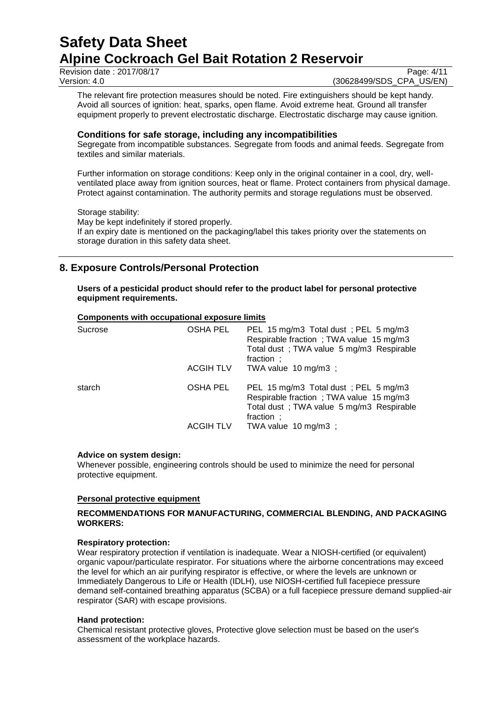Revision date : 2017/08/17 Page: 4/11<br>Version: 4.0 (30628499/SDS CPA US/EN)

(30628499/SDS\_CPA\_US/EN)

The relevant fire protection measures should be noted. Fire extinguishers should be kept handy. Avoid all sources of ignition: heat, sparks, open flame. Avoid extreme heat. Ground all transfer equipment properly to prevent electrostatic discharge. Electrostatic discharge may cause ignition.

#### **Conditions for safe storage, including any incompatibilities**

Segregate from incompatible substances. Segregate from foods and animal feeds. Segregate from textiles and similar materials.

Further information on storage conditions: Keep only in the original container in a cool, dry, wellventilated place away from ignition sources, heat or flame. Protect containers from physical damage. Protect against contamination. The authority permits and storage regulations must be observed.

#### Storage stability:

May be kept indefinitely if stored properly. If an expiry date is mentioned on the packaging/label this takes priority over the statements on storage duration in this safety data sheet.

# **8. Exposure Controls/Personal Protection**

**Users of a pesticidal product should refer to the product label for personal protective equipment requirements.**

#### **Components with occupational exposure limits**

| Sucrose | <b>OSHA PEL</b>  | PEL 15 mg/m3 Total dust; PEL 5 mg/m3<br>Respirable fraction; TWA value 15 mg/m3<br>Total dust; TWA value 5 mg/m3 Respirable<br>fraction ;  |
|---------|------------------|--------------------------------------------------------------------------------------------------------------------------------------------|
|         | <b>ACGIH TLV</b> | TWA value $10 \text{ mg/m}3$ ;                                                                                                             |
| starch  | <b>OSHA PEL</b>  | PEL 15 mg/m3 Total dust; PEL 5 mg/m3<br>Respirable fraction; TWA value 15 mg/m3<br>Total dust ; TWA value 5 mg/m3 Respirable<br>fraction ; |
|         | <b>ACGIH TLV</b> | TWA value $10 \text{ mg/m}3$ ;                                                                                                             |

#### **Advice on system design:**

Whenever possible, engineering controls should be used to minimize the need for personal protective equipment.

## **Personal protective equipment**

## **RECOMMENDATIONS FOR MANUFACTURING, COMMERCIAL BLENDING, AND PACKAGING WORKERS:**

#### **Respiratory protection:**

Wear respiratory protection if ventilation is inadequate. Wear a NIOSH-certified (or equivalent) organic vapour/particulate respirator. For situations where the airborne concentrations may exceed the level for which an air purifying respirator is effective, or where the levels are unknown or Immediately Dangerous to Life or Health (IDLH), use NIOSH-certified full facepiece pressure demand self-contained breathing apparatus (SCBA) or a full facepiece pressure demand supplied-air respirator (SAR) with escape provisions.

#### **Hand protection:**

Chemical resistant protective gloves, Protective glove selection must be based on the user's assessment of the workplace hazards.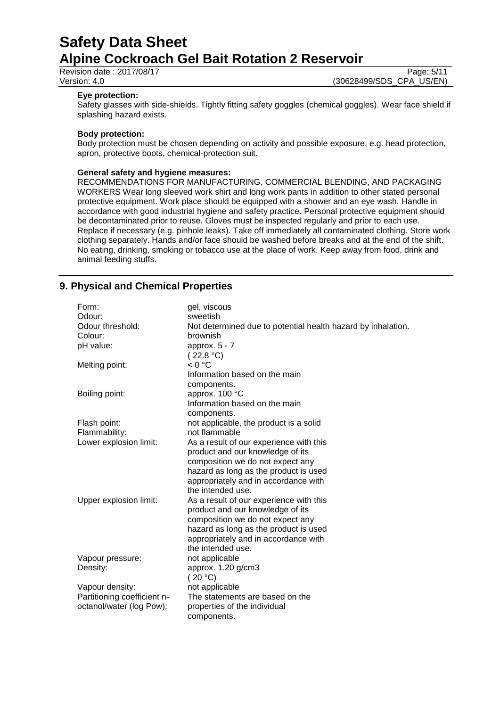Revision date : 2017/08/17 Page: 5/11<br>Version: 4.0 (30628499/SDS\_CPA\_US/EN)

(30628499/SDS\_CPA\_US/EN)

#### **Eye protection:**

Safety glasses with side-shields. Tightly fitting safety goggles (chemical goggles). Wear face shield if splashing hazard exists.

#### **Body protection:**

Body protection must be chosen depending on activity and possible exposure, e.g. head protection, apron, protective boots, chemical-protection suit.

#### **General safety and hygiene measures:**

RECOMMENDATIONS FOR MANUFACTURING, COMMERCIAL BLENDING, AND PACKAGING WORKERS Wear long sleeved work shirt and long work pants in addition to other stated personal protective equipment. Work place should be equipped with a shower and an eye wash. Handle in accordance with good industrial hygiene and safety practice. Personal protective equipment should be decontaminated prior to reuse. Gloves must be inspected regularly and prior to each use. Replace if necessary (e.g. pinhole leaks). Take off immediately all contaminated clothing. Store work clothing separately. Hands and/or face should be washed before breaks and at the end of the shift. No eating, drinking, smoking or tobacco use at the place of work. Keep away from food, drink and animal feeding stuffs.

# **9. Physical and Chemical Properties**

| Form:<br>Odour:             | gel, viscous<br>sweetish                                                 |
|-----------------------------|--------------------------------------------------------------------------|
| Odour threshold:            |                                                                          |
| Colour:                     | Not determined due to potential health hazard by inhalation.<br>brownish |
|                             |                                                                          |
| pH value:                   | approx. $5 - 7$                                                          |
|                             | (22.8 °C)<br>< 0 °C                                                      |
| Melting point:              |                                                                          |
|                             | Information based on the main                                            |
|                             | components.                                                              |
| Boiling point:              | approx. 100 °C                                                           |
|                             | Information based on the main                                            |
|                             | components.                                                              |
| Flash point:                | not applicable, the product is a solid                                   |
| Flammability:               | not flammable                                                            |
| Lower explosion limit:      | As a result of our experience with this                                  |
|                             | product and our knowledge of its                                         |
|                             | composition we do not expect any                                         |
|                             | hazard as long as the product is used                                    |
|                             | appropriately and in accordance with                                     |
|                             | the intended use.                                                        |
| Upper explosion limit:      | As a result of our experience with this                                  |
|                             | product and our knowledge of its                                         |
|                             | composition we do not expect any                                         |
|                             | hazard as long as the product is used                                    |
|                             | appropriately and in accordance with                                     |
|                             | the intended use.                                                        |
| Vapour pressure:            | not applicable                                                           |
| Density:                    | approx. 1.20 g/cm3                                                       |
|                             | (20 °C)                                                                  |
| Vapour density:             | not applicable                                                           |
| Partitioning coefficient n- | The statements are based on the                                          |
| octanol/water (log Pow):    | properties of the individual                                             |
|                             |                                                                          |
|                             | components.                                                              |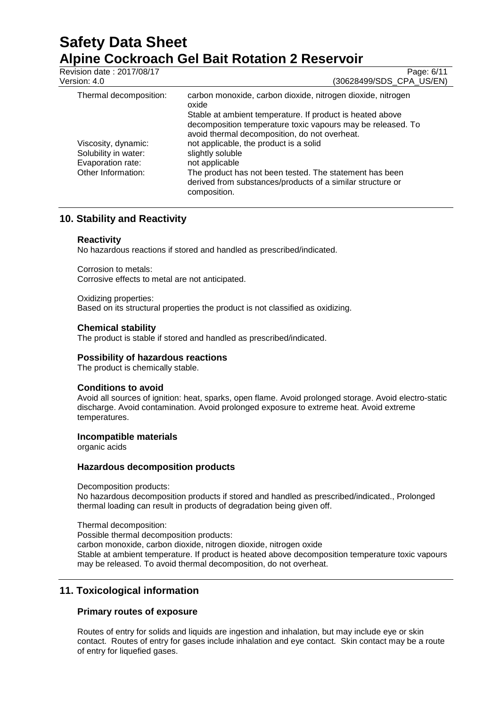| Revision date: 2017/08/17<br>Version: 4.0                                              | Page: 6/11<br>(30628499/SDS_CPA_US/EN)                                                                                                                                                                                                                                                                                                |
|----------------------------------------------------------------------------------------|---------------------------------------------------------------------------------------------------------------------------------------------------------------------------------------------------------------------------------------------------------------------------------------------------------------------------------------|
| Thermal decomposition:                                                                 | carbon monoxide, carbon dioxide, nitrogen dioxide, nitrogen<br>oxide<br>Stable at ambient temperature. If product is heated above                                                                                                                                                                                                     |
| Viscosity, dynamic:<br>Solubility in water:<br>Evaporation rate:<br>Other Information: | decomposition temperature toxic vapours may be released. To<br>avoid thermal decomposition, do not overheat.<br>not applicable, the product is a solid<br>slightly soluble<br>not applicable<br>The product has not been tested. The statement has been<br>derived from substances/products of a similar structure or<br>composition. |

# **10. Stability and Reactivity**

## **Reactivity**

No hazardous reactions if stored and handled as prescribed/indicated.

Corrosion to metals: Corrosive effects to metal are not anticipated.

Oxidizing properties: Based on its structural properties the product is not classified as oxidizing.

## **Chemical stability**

The product is stable if stored and handled as prescribed/indicated.

## **Possibility of hazardous reactions**

The product is chemically stable.

## **Conditions to avoid**

Avoid all sources of ignition: heat, sparks, open flame. Avoid prolonged storage. Avoid electro-static discharge. Avoid contamination. Avoid prolonged exposure to extreme heat. Avoid extreme temperatures.

## **Incompatible materials**

organic acids

## **Hazardous decomposition products**

Decomposition products:

No hazardous decomposition products if stored and handled as prescribed/indicated., Prolonged thermal loading can result in products of degradation being given off.

Thermal decomposition:

Possible thermal decomposition products:

carbon monoxide, carbon dioxide, nitrogen dioxide, nitrogen oxide Stable at ambient temperature. If product is heated above decomposition temperature toxic vapours may be released. To avoid thermal decomposition, do not overheat.

# **11. Toxicological information**

## **Primary routes of exposure**

Routes of entry for solids and liquids are ingestion and inhalation, but may include eye or skin contact. Routes of entry for gases include inhalation and eye contact. Skin contact may be a route of entry for liquefied gases.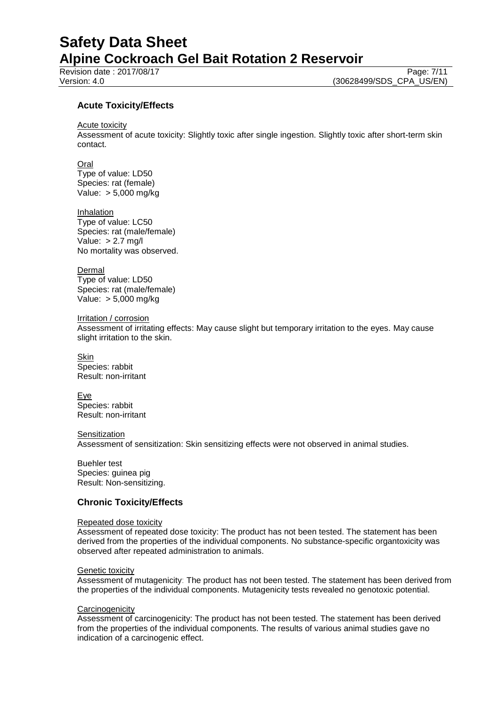Revision date : 2017/08/17

Version: 4.0 (30628499/SDS\_CPA\_US/EN)

## **Acute Toxicity/Effects**

Acute toxicity

Assessment of acute toxicity: Slightly toxic after single ingestion. Slightly toxic after short-term skin contact.

Oral

Type of value: LD50 Species: rat (female) Value: > 5,000 mg/kg

Inhalation Type of value: LC50 Species: rat (male/female) Value: > 2.7 mg/l No mortality was observed.

**Dermal** Type of value: LD50 Species: rat (male/female) Value: > 5,000 mg/kg

Irritation / corrosion

Assessment of irritating effects: May cause slight but temporary irritation to the eyes. May cause slight irritation to the skin.

**Skin** Species: rabbit Result: non-irritant

Eye Species: rabbit Result: non-irritant

**Sensitization** 

Assessment of sensitization: Skin sensitizing effects were not observed in animal studies.

Buehler test Species: guinea pig Result: Non-sensitizing.

#### **Chronic Toxicity/Effects**

#### Repeated dose toxicity

Assessment of repeated dose toxicity: The product has not been tested. The statement has been derived from the properties of the individual components. No substance-specific organtoxicity was observed after repeated administration to animals.

### **Genetic toxicity**

Assessment of mutagenicity: The product has not been tested. The statement has been derived from the properties of the individual components. Mutagenicity tests revealed no genotoxic potential.

#### **Carcinogenicity**

Assessment of carcinogenicity: The product has not been tested. The statement has been derived from the properties of the individual components. The results of various animal studies gave no indication of a carcinogenic effect.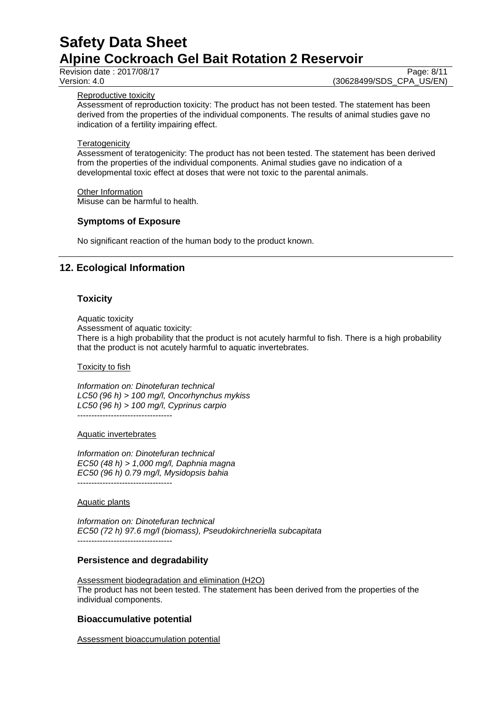Revision date : 2017/08/17 Page: 8/11<br>Version: 4.0 (30628499/SDS CPA US/EN)

(30628499/SDS\_CPA\_US/EN)

#### Reproductive toxicity

Assessment of reproduction toxicity: The product has not been tested. The statement has been derived from the properties of the individual components. The results of animal studies gave no indication of a fertility impairing effect.

#### **Teratogenicity**

Assessment of teratogenicity: The product has not been tested. The statement has been derived from the properties of the individual components. Animal studies gave no indication of a developmental toxic effect at doses that were not toxic to the parental animals.

#### Other Information

Misuse can be harmful to health.

#### **Symptoms of Exposure**

No significant reaction of the human body to the product known.

# **12. Ecological Information**

## **Toxicity**

Aquatic toxicity Assessment of aquatic toxicity:

There is a high probability that the product is not acutely harmful to fish. There is a high probability

that the product is not acutely harmful to aquatic invertebrates.

#### Toxicity to fish

*Information on: Dinotefuran technical LC50 (96 h) > 100 mg/l, Oncorhynchus mykiss LC50 (96 h) > 100 mg/l, Cyprinus carpio* ----------------------------------

#### Aquatic invertebrates

*Information on: Dinotefuran technical EC50 (48 h) > 1,000 mg/l, Daphnia magna EC50 (96 h) 0.79 mg/l, Mysidopsis bahia* ----------------------------------

### Aquatic plants

*Information on: Dinotefuran technical EC50 (72 h) 97.6 mg/l (biomass), Pseudokirchneriella subcapitata* ----------------------------------

## **Persistence and degradability**

Assessment biodegradation and elimination (H2O) The product has not been tested. The statement has been derived from the properties of the individual components.

## **Bioaccumulative potential**

Assessment bioaccumulation potential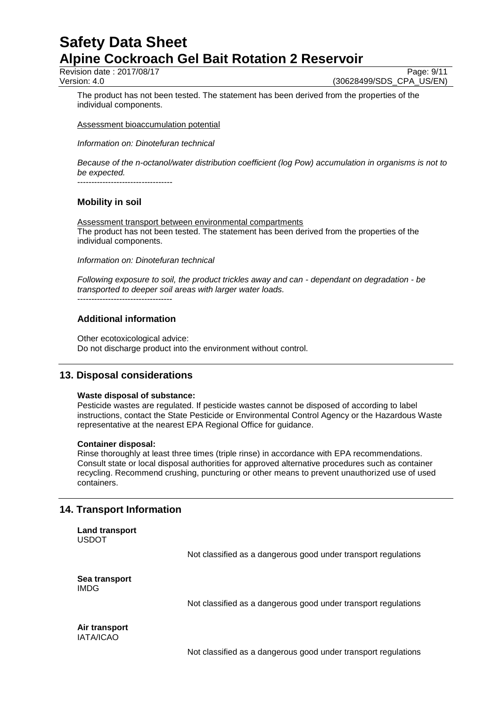Revision date : 2017/08/17 Page: 9/11

Version: 4.0 (30628499/SDS\_CPA\_US/EN)

The product has not been tested. The statement has been derived from the properties of the individual components.

Assessment bioaccumulation potential

*Information on: Dinotefuran technical*

*Because of the n-octanol/water distribution coefficient (log Pow) accumulation in organisms is not to be expected.*

----------------------------------

# **Mobility in soil**

Assessment transport between environmental compartments The product has not been tested. The statement has been derived from the properties of the individual components.

*Information on: Dinotefuran technical*

*Following exposure to soil, the product trickles away and can - dependant on degradation - be transported to deeper soil areas with larger water loads.*

----------------------------------

# **Additional information**

Other ecotoxicological advice: Do not discharge product into the environment without control.

# **13. Disposal considerations**

#### **Waste disposal of substance:**

Pesticide wastes are regulated. If pesticide wastes cannot be disposed of according to label instructions, contact the State Pesticide or Environmental Control Agency or the Hazardous Waste representative at the nearest EPA Regional Office for guidance.

#### **Container disposal:**

Rinse thoroughly at least three times (triple rinse) in accordance with EPA recommendations. Consult state or local disposal authorities for approved alternative procedures such as container recycling. Recommend crushing, puncturing or other means to prevent unauthorized use of used containers.

# **14. Transport Information**

```
Land transport
USDOT
```
Not classified as a dangerous good under transport regulations

**Sea transport** IMDG

Not classified as a dangerous good under transport regulations

**Air transport** IATA/ICAO

Not classified as a dangerous good under transport regulations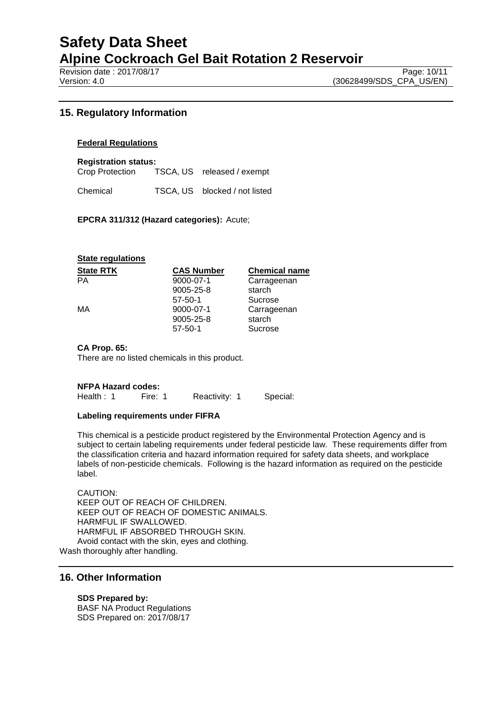Revision date : 2017/08/17 Page: 10/11<br>Version: 4.0 (30628499/SDS\_CPA\_US/EN)

# **15. Regulatory Information**

### **Federal Regulations**

**Registration status:**

Crop Protection TSCA, US released / exempt

Chemical TSCA, US blocked / not listed

#### **EPCRA 311/312 (Hazard categories):** Acute;

#### **State regulations**

| <b>CAS Number</b><br><b>Chemical name</b> |
|-------------------------------------------|
| 9000-07-1<br>Carrageenan                  |
| starch<br>$9005 - 25 - 8$                 |
| Sucrose<br>$57 - 50 - 1$                  |
| 9000-07-1<br>Carrageenan                  |
| starch<br>9005-25-8                       |
| Sucrose<br>$57 - 50 - 1$                  |
|                                           |

#### **CA Prop. 65:**

There are no listed chemicals in this product.

#### **NFPA Hazard codes:**

Health : 1 Fire: 1 Reactivity: 1 Special:

#### **Labeling requirements under FIFRA**

This chemical is a pesticide product registered by the Environmental Protection Agency and is subject to certain labeling requirements under federal pesticide law. These requirements differ from the classification criteria and hazard information required for safety data sheets, and workplace labels of non-pesticide chemicals. Following is the hazard information as required on the pesticide label.

CAUTION: KEEP OUT OF REACH OF CHILDREN. KEEP OUT OF REACH OF DOMESTIC ANIMALS. HARMFUL IF SWALLOWED. HARMFUL IF ABSORBED THROUGH SKIN. Avoid contact with the skin, eyes and clothing. Wash thoroughly after handling.

## **16. Other Information**

**SDS Prepared by:**  BASF NA Product Regulations SDS Prepared on: 2017/08/17